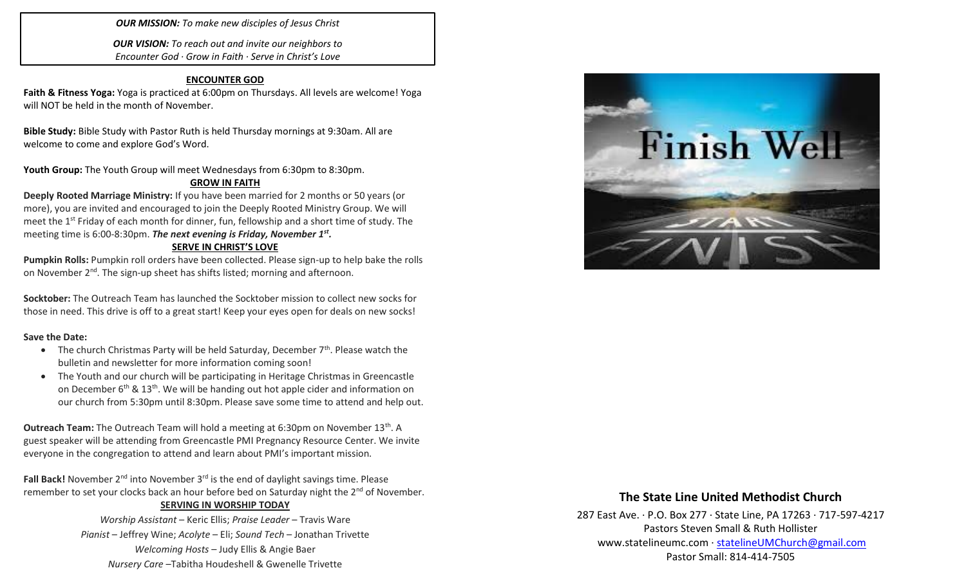*OUR MISSION: To make new disciples of Jesus Christ*

*OUR VISION: To reach out and invite our neighbors to Encounter God · Grow in Faith · Serve in Christ's Love*

### **ENCOUNTER GOD**

**Faith & Fitness Yoga:** Yoga is practiced at 6:00pm on Thursdays. All levels are welcome! Yoga will NOT be held in the month of November.

**Bible Study:** Bible Study with Pastor Ruth is held Thursday mornings at 9:30am. All are welcome to come and explore God's Word.

Youth Group: The Youth Group will meet Wednesdays from 6:30pm to 8:30pm.

### **GROW IN FAITH**

**Deeply Rooted Marriage Ministry:** If you have been married for 2 months or 50 years (or more), you are invited and encouraged to join the Deeply Rooted Ministry Group. We will meet the 1<sup>st</sup> Friday of each month for dinner, fun, fellowship and a short time of study. The meeting time is 6:00-8:30pm. *The next evening is Friday, November 1st .* 

### **SERVE IN CHRIST'S LOVE**

**Pumpkin Rolls:** Pumpkin roll orders have been collected. Please sign-up to help bake the rolls on November 2<sup>nd</sup>. The sign-up sheet has shifts listed; morning and afternoon.

**Socktober:** The Outreach Team has launched the Socktober mission to collect new socks for those in need. This drive is off to a great start! Keep your eyes open for deals on new socks!

#### **Save the Date:**

- The church Christmas Party will be held Saturday, December  $7<sup>th</sup>$ . Please watch the bulletin and newsletter for more information coming soon!
- The Youth and our church will be participating in Heritage Christmas in Greencastle on December  $6<sup>th</sup>$  & 13<sup>th</sup>. We will be handing out hot apple cider and information on our church from 5:30pm until 8:30pm. Please save some time to attend and help out.

**Outreach Team:** The Outreach Team will hold a meeting at 6:30pm on November 13<sup>th</sup>. A guest speaker will be attending from Greencastle PMI Pregnancy Resource Center. We invite everyone in the congregation to attend and learn about PMI's important mission.

Fall Back! November 2<sup>nd</sup> into November 3<sup>rd</sup> is the end of daylight savings time. Please remember to set your clocks back an hour before bed on Saturday night the 2<sup>nd</sup> of November. **SERVING IN WORSHIP TODAY**

> *Worship Assistant* – Keric Ellis; *Praise Leader* – Travis Ware *Pianist* – Jeffrey Wine; *Acolyte* – Eli; *Sound Tech* – Jonathan Trivette *Welcoming Hosts* – Judy Ellis & Angie Baer *Nursery Care* –Tabitha Houdeshell & Gwenelle Trivette



# **The State Line United Methodist Church**

287 East Ave. · P.O. Box 277 · State Line, PA 17263 · 717-597-4217 Pastors Steven Small & Ruth Hollister [www.statelineumc.com](http://www.statelineumc.com/) · [statelineUMChurch@gmail.com](mailto:statelineUMChurch@gmail.com) Pastor Small: 814-414-7505